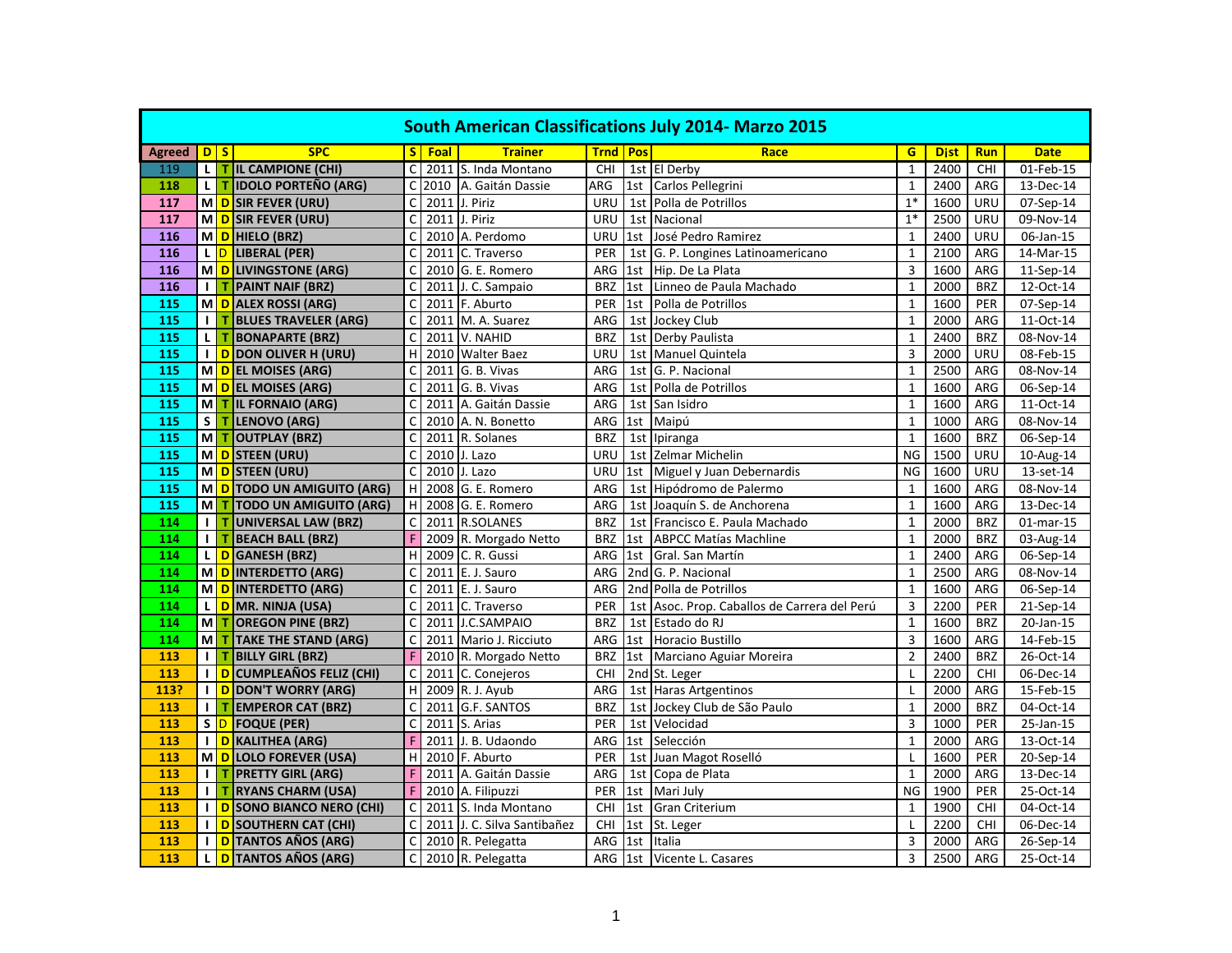| <b>South American Classifications July 2014- Marzo 2015</b> |                |              |                                   |              |        |                             |                   |     |                                              |                |             |            |                         |
|-------------------------------------------------------------|----------------|--------------|-----------------------------------|--------------|--------|-----------------------------|-------------------|-----|----------------------------------------------|----------------|-------------|------------|-------------------------|
| <b>Agreed</b>                                               |                | D S          | <b>SPC</b>                        |              | S Foal | <b>Trainer</b>              | <b>Trnd   Pos</b> |     | Race                                         | G              | <b>Dist</b> | <b>Run</b> | <b>Date</b>             |
| 119                                                         |                |              | L T IL CAMPIONE (CHI)             | C            |        | 2011 S. Inda Montano        | <b>CHI</b>        |     | 1st El Derby                                 | $\mathbf{1}$   | 2400        | CHI        | 01-Feb-15               |
| 118                                                         | L I            | $\mathbf T$  | <b>IDOLO PORTEÑO (ARG)</b>        | C            |        | 2010 A. Gaitán Dassie       | ARG               |     | 1st Carlos Pellegrini                        | $\mathbf{1}$   | 2400        | ARG        | 13-Dec-14               |
| 117                                                         |                |              | M D SIR FEVER (URU)               | C            |        | 2011 J. Piriz               | URU               | 1st | Polla de Potrillos                           | $1*$           | 1600        | URU        | 07-Sep-14               |
| 117                                                         |                |              | M D SIR FEVER (URU)               | C            |        | 2011 J. Piriz               | URU               |     | 1st Nacional                                 | $1*$           | 2500        | URU        | 09-Nov-14               |
| 116                                                         |                |              | M D HIELO (BRZ)                   | Ċ            |        | 2010 A. Perdomo             | URU               |     | 1st José Pedro Ramirez                       | $\mathbf{1}$   | 2400        | URU        | $\overline{06}$ -Jan-15 |
| 116                                                         | L D            |              | <b>LIBERAL (PER)</b>              | C            | 2011   | C. Traverso                 | PER               | 1st | G. P. Longines Latinoamericano               | $\overline{1}$ | 2100        | ARG        | 14-Mar-15               |
| 116                                                         |                |              | M D LIVINGSTONE (ARG)             | C            |        | 2010 G. E. Romero           | ARG               | 1st | Hip. De La Plata                             | $\overline{3}$ | 1600        | ARG        | 11-Sep-14               |
| 116                                                         | $\blacksquare$ | $\mathbf T$  | <b>PAINT NAIF (BRZ)</b>           | Ċ            |        | 2011 J. C. Sampaio          | <b>BRZ</b>        |     | 1st Linneo de Paula Machado                  | $\mathbf{1}$   | 2000        | <b>BRZ</b> | 12-Oct-14               |
| 115                                                         |                |              | M D ALEX ROSSI (ARG)              | C            |        | 2011 F. Aburto              | PER               | 1st | Polla de Potrillos                           | $\mathbf{1}$   | 1600        | PER        | 07-Sep-14               |
| 115                                                         | $\mathbf{L}$   |              | T BLUES TRAVELER (ARG)            | C            |        | 2011 M. A. Suarez           | ARG               |     | 1st Jockey Club                              | $\mathbf{1}$   | 2000        | ARG        | 11-Oct-14               |
| 115                                                         | L.             | $\mathsf{T}$ | <b>BONAPARTE (BRZ)</b>            | $\mathsf{C}$ |        | 2011 V. NAHID               | <b>BRZ</b>        |     | 1st Derby Paulista                           | $\mathbf{1}$   | 2400        | <b>BRZ</b> | 08-Nov-14               |
| 115                                                         |                |              | <b>I</b> D DON OLIVER H (URU)     | H            |        | 2010 Walter Baez            | URU               |     | 1st Manuel Quintela                          | $\overline{3}$ | 2000        | URU        | 08-Feb-15               |
| 115                                                         |                |              | M D EL MOISES (ARG)               | C            |        | 2011 G. B. Vivas            | ARG               |     | 1st G. P. Nacional                           | $\mathbf{1}$   | 2500        | ARG        | 08-Nov-14               |
| 115                                                         |                |              | M D EL MOISES (ARG)               | $\mathsf{C}$ |        | 2011 G. B. Vivas            | ARG               |     | 1st Polla de Potrillos                       | $\mathbf{1}$   | 1600        | ARG        | 06-Sep-14               |
| 115                                                         | М              |              | <b>T IL FORNAIO (ARG)</b>         | C            |        | 2011 A. Gaitán Dassie       | ARG               |     | 1st San Isidro                               | $\mathbf{1}$   | 1600        | ARG        | 11-Oct-14               |
| 115                                                         | S              |              | T LENOVO (ARG)                    | C            |        | 2010 A. N. Bonetto          | ${\sf ARG}$       |     | 1st Maipú                                    | $\mathbf{1}$   | 1000        | ARG        | 08-Nov-14               |
| 115                                                         | М              | I T          | <b>OUTPLAY (BRZ)</b>              | $\mathsf{C}$ |        | 2011 R. Solanes             | <b>BRZ</b>        |     | 1st Ipiranga                                 | $\mathbf{1}$   | 1600        | <b>BRZ</b> | 06-Sep-14               |
| 115                                                         |                |              | M D STEEN (URU)                   | C            |        | 2010 J. Lazo                | URU               |     | 1st Zelmar Michelin                          | <b>NG</b>      | 1500        | URU        | 10-Aug-14               |
| 115                                                         |                |              | MOSTEEN (URU)                     | $\mathsf{C}$ |        | 2010 J. Lazo                | URU               |     | 1st Miguel y Juan Debernardis                | <b>NG</b>      | 1600        | URU        | 13-set-14               |
| 115                                                         |                |              | M D TODO UN AMIGUITO (ARG)        | H            |        | 2008 G. E. Romero           | ARG               | 1st | Hipódromo de Palermo                         | $\overline{1}$ | 1600        | <b>ARG</b> | 08-Nov-14               |
| 115                                                         | М              |              | T TODO UN AMIGUITO (ARG)          | H            |        | 2008 G. E. Romero           | ARG               |     | 1st Joaquín S. de Anchorena                  | $\mathbf{1}$   | 1600        | ARG        | 13-Dec-14               |
| 114                                                         | $\mathbf{I}$   |              | TUNIVERSAL LAW (BRZ)              | $\mathsf{C}$ |        | 2011 R.SOLANES              | <b>BRZ</b>        |     | 1st Francisco E. Paula Machado               | $\overline{1}$ | 2000        | <b>BRZ</b> | 01-mar-15               |
| 114                                                         | $\mathbf{L}$   |              | <b>BEACH BALL (BRZ)</b>           | F            |        | 2009 R. Morgado Netto       | <b>BRZ</b>        |     | 1st   ABPCC Matías Machline                  | $\mathbf{1}$   | 2000        | <b>BRZ</b> | 03-Aug-14               |
| 114                                                         |                |              | L D GANESH (BRZ)                  | H            |        | 2009 C. R. Gussi            | ARG               | 1st | Gral. San Martín                             | $\mathbf{1}$   | 2400        | ARG        | 06-Sep-14               |
| 114                                                         |                |              | MO INTERDETTO (ARG)               | C            |        | 2011 E. J. Sauro            | ARG               |     | 2nd G. P. Nacional                           | $\mathbf{1}$   | 2500        | ARG        | 08-Nov-14               |
| 114                                                         |                |              | M D INTERDETTO (ARG)              | Ċ            |        | 2011 E. J. Sauro            | ARG               |     | 2nd Polla de Potrillos                       | $\mathbf{1}$   | 1600        | <b>ARG</b> | 06-Sep-14               |
| 114                                                         |                |              | L <mark>D </mark> MR. NINJA (USA) | $\mathsf{C}$ |        | 2011 C. Traverso            | PER               |     | 1st Asoc. Prop. Caballos de Carrera del Perú | $\overline{3}$ | 2200        | PER        | 21-Sep-14               |
| 114                                                         | M T            |              | <b>OREGON PINE (BRZ)</b>          | C            |        | 2011 J.C.SAMPAIO            | <b>BRZ</b>        |     | 1st Estado do RJ                             | $\mathbf 1$    | 1600        | <b>BRZ</b> | 20-Jan-15               |
| 114                                                         | м              | т            | <b>TAKE THE STAND (ARG)</b>       | Ċ            |        | 2011 Mario J. Ricciuto      | ARG               | 1st | <b>Horacio Bustillo</b>                      | $\overline{3}$ | 1600        | ARG        | 14-Feb-15               |
| 113                                                         | $\mathbf{L}$   | т            | <b>BILLY GIRL (BRZ)</b>           | F            |        | 2010 R. Morgado Netto       | <b>BRZ</b>        |     | 1st Marciano Aguiar Moreira                  | $\overline{2}$ | 2400        | <b>BRZ</b> | 26-Oct-14               |
| 113                                                         |                |              | I D CUMPLEAÑOS FELIZ (CHI)        | $\mathsf{C}$ |        | 2011 C. Conejeros           | CHI               |     | 2nd St. Leger                                | L              | 2200        | CHI        | 06-Dec-14               |
| 113?                                                        |                |              | <b>I</b> D DON'T WORRY (ARG)      | H            |        | 2009 R. J. Ayub             | ARG               |     | 1st Haras Artgentinos                        | L              | 2000        | ARG        | 15-Feb-15               |
| 113                                                         |                |              | <b>I</b> T EMPEROR CAT (BRZ)      | C            |        | 2011 G.F. SANTOS            | <b>BRZ</b>        |     | 1st Jockey Club de São Paulo                 | $\mathbf{1}$   | 2000        | <b>BRZ</b> | 04-Oct-14               |
| 113                                                         |                |              | S D FOQUE (PER)                   | C            |        | 2011 S. Arias               | PER               |     | 1st Velocidad                                | $\overline{3}$ | 1000        | PER        | $25$ -Jan-15            |
| 113                                                         |                |              | I D KALITHEA (ARG)                | F            |        | 2011 J. B. Udaondo          | ARG               | 1st | Selección                                    | $\mathbf{1}$   | 2000        | ARG        | 13-Oct-14               |
| 113                                                         |                |              | M D LOLO FOREVER (USA)            | н            |        | $\overline{2010}$ F. Aburto | PER               |     | 1st Juan Magot Roselló                       | L.             | 1600        | PER        | 20-Sep-14               |
| 113                                                         |                |              | I   T   PRETTY GIRL (ARG)         | F            |        | 2011 A. Gaitán Dassie       | ARG               |     | 1st Copa de Plata                            | $\mathbf{1}$   | 2000        | ARG        | 13-Dec-14               |
| 113                                                         | $\blacksquare$ | $\mathbf T$  | <b>RYANS CHARM (USA)</b>          | F            |        | 2010 A. Filipuzzi           | PER               | 1st | Mari July                                    | <b>NG</b>      | 1900        | PER        | 25-Oct-14               |
| 113                                                         |                |              | I D SONO BIANCO NERO (CHI)        | C            |        | 2011 S. Inda Montano        | CHI               |     | 1st Gran Criterium                           | $\mathbf{1}$   | 1900        | <b>CHI</b> | 04-Oct-14               |
| 113                                                         |                |              | I D SOUTHERN CAT (CHI)            | C            |        | 2011 J. C. Silva Santibañez | CHI               | 1st | St. Leger                                    | $\mathsf{L}$   | 2200        | CHI        | 06-Dec-14               |
| 113                                                         | $\blacksquare$ |              | <b>D</b> TANTOS AÑOS (ARG)        | C            |        | 2010 R. Pelegatta           | ARG               | 1st | Italia                                       | $\overline{3}$ | 2000        | ARG        | 26-Sep-14               |
| 113                                                         | L.             |              | D TANTOS AÑOS (ARG)               | C            |        | 2010 R. Pelegatta           | ARG               | 1st | Vicente L. Casares                           | 3              | 2500        | ARG        | 25-Oct-14               |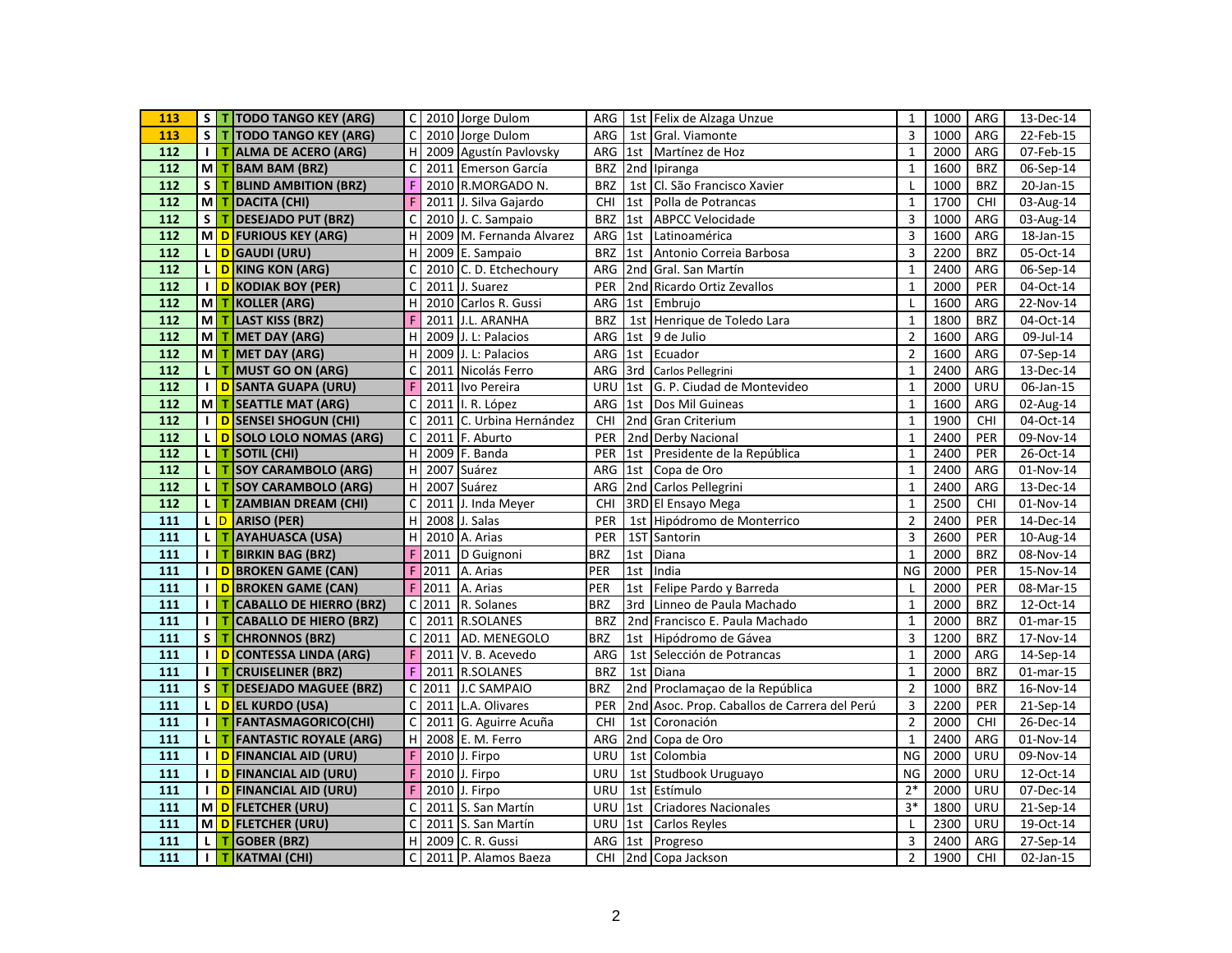| 113               | S            |             | T TODO TANGO KEY (ARG)         |                         |      | C 2010 Jorge Dulom       |            |     | ARG 1st Felix de Alzaga Unzue                | $\mathbf{1}$   | 1000 | ARG        | 13-Dec-14               |
|-------------------|--------------|-------------|--------------------------------|-------------------------|------|--------------------------|------------|-----|----------------------------------------------|----------------|------|------------|-------------------------|
| 113               | S            |             | T TODO TANGO KEY (ARG)         | $\mathsf C$             |      | 2010 Jorge Dulom         | ARG        | 1st | Gral. Viamonte                               | 3              | 1000 | ARG        | $22$ -Feb-15            |
| 112               | $\mathbf{I}$ |             | T ALMA DE ACERO (ARG)          | $\bf{H}$                |      | 2009 Agustín Pavlovsky   |            |     | ARG 1st Martínez de Hoz                      | $\mathbf{1}$   | 2000 | ARG        | 07-Feb-15               |
| 112               | мI           |             | T BAM BAM (BRZ)                | $\mathsf{C}$            |      | 2011 Emerson García      | <b>BRZ</b> |     | 2nd Ipiranga                                 | $\mathbf{1}$   | 1600 | <b>BRZ</b> | 06-Sep-14               |
| 112               | S            | T.          | <b>BLIND AMBITION (BRZ)</b>    | F                       |      | 2010 R.MORGADO N.        | <b>BRZ</b> |     | 1st Cl. São Francisco Xavier                 | $\mathbf{I}$   | 1000 | <b>BRZ</b> | 20-Jan-15               |
| 112               | M            |             | T DACITA (CHI)                 | F                       |      | 2011 J. Silva Gajardo    | CHI        |     | 1st Polla de Potrancas                       | $\mathbf{1}$   | 1700 | CHI        | 03-Aug-14               |
| 112               | S            | T.          | <b>DESEJADO PUT (BRZ)</b>      | $\overline{c}$          |      | 2010 J. C. Sampaio       | <b>BRZ</b> |     | 1st ABPCC Velocidade                         | 3              | 1000 | ARG        | 03-Aug-14               |
| 112               | мI           |             | D FURIOUS KEY (ARG)            | H                       |      | 2009 M. Fernanda Alvarez | ARG        | 1st | Latinoamérica                                | 3              | 1600 | ARG        | 18-Jan-15               |
| 112               | L.           |             | D GAUDI (URU)                  | H                       |      | 2009 E. Sampaio          | <b>BRZ</b> | 1st | Antonio Correia Barbosa                      | $\overline{3}$ | 2200 | <b>BRZ</b> | 05-Oct-14               |
| 112               | L.           |             | D KING KON (ARG)               | $\mathsf{C}$            |      | 2010 C. D. Etchechoury   | ARG        |     | 2nd Gral. San Martín                         | $\mathbf{1}$   | 2400 | ARG        | 06-Sep-14               |
| 112               | $\mathbf{I}$ |             | <b>D</b> KODIAK BOY (PER)      | $\overline{c}$          | 2011 | J. Suarez                | PER        |     | 2nd Ricardo Ortiz Zevallos                   | $\mathbf{1}$   | 2000 | PER        | 04-Oct-14               |
| 112               | мI           |             | T KOLLER (ARG)                 | H                       |      | 2010 Carlos R. Gussi     | ARG        |     | 1st Embrujo                                  | L              | 1600 | ARG        | 22-Nov-14               |
| 112               | M            |             | T LAST KISS (BRZ)              | F                       |      | 2011 J.L. ARANHA         | <b>BRZ</b> |     | 1st Henrique de Toledo Lara                  | $\mathbf{1}$   | 1800 | <b>BRZ</b> | 04-Oct-14               |
| 112               | M            | т           | <b>MET DAY (ARG)</b>           | H                       |      | 2009 J. L: Palacios      | ARG        | 1st | 9 de Julio                                   | $\mathbf 2$    | 1600 | ARG        | 09-Jul-14               |
| 112               | M            |             | T MET DAY (ARG)                | $\overline{H}$          |      | 2009 J. L: Palacios      |            |     | ARG 1st Ecuador                              | $\overline{2}$ | 1600 | ARG        | 07-Sep-14               |
| 112               | L.           |             | T MUST GO ON (ARG)             | $\mathsf{C}$            |      | 2011 Nicolás Ferro       |            |     | ARG 3rd Carlos Pellegrini                    | $\mathbf{1}$   | 2400 | ARG        | 13-Dec-14               |
| 112               | $\mathbf{I}$ |             | D SANTA GUAPA (URU)            | F                       |      | 2011 Ivo Pereira         | URU        | 1st | G. P. Ciudad de Montevideo                   | $\mathbf{1}$   | 2000 | URU        | $\overline{06}$ -Jan-15 |
| $\frac{112}{ }$   |              |             | M T SEATTLE MAT (ARG)          | $\mathsf{C}$            |      | 2011 I. R. López         |            |     | ARG 1st Dos Mil Guineas                      | $\mathbf{1}$   | 1600 | ARG        | 02-Aug-14               |
| 112               | $\mathbf{I}$ |             | D SENSEI SHOGUN (CHI)          | $\overline{c}$          |      | 2011 C. Urbina Hernández | CHI        |     | 2nd Gran Criterium                           | $\mathbf{1}$   | 1900 | CHI        | 04-Oct-14               |
| $\frac{112}{ }$   | $\mathsf{L}$ |             | D SOLO LOLO NOMAS (ARG)        | $\mathsf{C}$            |      | 2011 F. Aburto           | PER        |     | 2nd Derby Nacional                           | $\mathbf{1}$   | 2400 | PER        | 09-Nov-14               |
| 112               |              |             | L <b>T</b> SOTIL (CHI)         | H                       |      | 2009 F. Banda            | PER        |     | 1st Presidente de la República               | $\mathbf{1}$   | 2400 | PER        | 26-Oct-14               |
| 112               | $\mathbf{L}$ |             | T SOY CARAMBOLO (ARG)          | $\mathsf H$             |      | 2007 Suárez              | ARG        |     | 1st Copa de Oro                              | $\mathbf{1}$   | 2400 | ARG        | 01-Nov-14               |
| $\frac{112}{2}$   | L            | т.          | <b>SOY CARAMBOLO (ARG)</b>     | $\mathsf H$             |      | 2007 Suárez              | ARG        |     | 2nd Carlos Pellegrini                        | $\mathbf{1}$   | 2400 | ARG        | 13-Dec-14               |
| 112               | L.           | т.          | <b>ZAMBIAN DREAM (CHI)</b>     | $\mathsf C$             |      | 2011 J. Inda Meyer       | CHI        |     | 3RD El Ensayo Mega                           | $\mathbf{1}$   | 2500 | <b>CHI</b> | 01-Nov-14               |
| 111               |              |             | L D ARISO (PER)                | H                       |      | 2008 J. Salas            | PER        |     | 1st Hipódromo de Monterrico                  | $\overline{2}$ | 2400 | PER        | 14-Dec-14               |
| 111               | L.           | т           | <b>AYAHUASCA (USA)</b>         | H                       | 2010 | A. Arias                 | PER        |     | 1ST Santorin                                 | 3              | 2600 | PER        | 10-Aug-14               |
| 111               | $\mathbf{I}$ | т           | <b>BIRKIN BAG (BRZ)</b>        | F                       |      | 2011 D Guignoni          | <b>BRZ</b> |     | 1st Diana                                    | $\mathbf{1}$   | 2000 | <b>BRZ</b> | 08-Nov-14               |
| 111               | $\mathbf{I}$ |             | D BROKEN GAME (CAN)            | F                       |      | 2011 A. Arias            | PER        | 1st | India                                        | <b>NG</b>      | 2000 | PER        | 15-Nov-14               |
| 111               | Т.           |             | <b>D</b> BROKEN GAME (CAN)     | F                       |      | 2011 A. Arias            | PER        |     | 1st Felipe Pardo y Barreda                   | L              | 2000 | PER        | 08-Mar-15               |
| 111               | $\mathbf{I}$ | T.          | <b>CABALLO DE HIERRO (BRZ)</b> | $\overline{\mathsf{c}}$ |      | $2011$ R. Solanes        | <b>BRZ</b> |     | 3rd Linneo de Paula Machado                  | $\mathbf{1}$   | 2000 | <b>BRZ</b> | 12-Oct-14               |
| 111               | $\mathbf{I}$ | T.          | <b>CABALLO DE HIERO (BRZ)</b>  | $\mathsf{C}$            |      | 2011 R.SOLANES           | <b>BRZ</b> |     | 2nd Francisco E. Paula Machado               | $\mathbf{1}$   | 2000 | <b>BRZ</b> | $01$ -mar-15            |
| 111               | S            | $\mathbf T$ | <b>CHRONNOS (BRZ)</b>          | $\mathsf C$             |      | 2011 AD. MENEGOLO        | <b>BRZ</b> |     | 1st Hipódromo de Gávea                       | 3              | 1200 | <b>BRZ</b> | 17-Nov-14               |
| 111               | $\mathbf{I}$ |             | D CONTESSA LINDA (ARG)         | F                       |      | 2011 V. B. Acevedo       | ARG        |     | 1st Selección de Potrancas                   | $\mathbf{1}$   | 2000 | ARG        | 14-Sep-14               |
| 111               | Τ.           | т.          | <b>CRUISELINER (BRZ)</b>       | F                       |      | 2011 R.SOLANES           | <b>BRZ</b> |     | 1st Diana                                    | $\mathbf 1$    | 2000 | <b>BRZ</b> | $01$ -mar-15            |
| 111               | S            |             | T DESEJADO MAGUEE (BRZ)        | C                       |      | 2011 J.C SAMPAIO         | <b>BRZ</b> |     | 2nd Proclamação de la República              | $\overline{2}$ | 1000 | <b>BRZ</b> | 16-Nov-14               |
| 111               | L.           |             | DEL KURDO (USA)                | $\mathsf C$             |      | 2011 L.A. Olivares       | <b>PER</b> |     | 2nd Asoc. Prop. Caballos de Carrera del Perú | 3              | 2200 | PER        | 21-Sep-14               |
| $\frac{111}{111}$ | $\mathbf{I}$ |             | T FANTASMAGORICO(CHI)          | $\mathsf{C}$            |      | 2011 G. Aguirre Acuña    | CHI        | 1st | Coronación                                   | $\overline{2}$ | 2000 | CHI        | 26-Dec-14               |
| 111               | L.           | т.          | <b>FANTASTIC ROYALE (ARG)</b>  | H                       |      | 2008 E. M. Ferro         | ARG        |     | 2nd Copa de Oro                              | $\mathbf{1}$   | 2400 | ARG        | 01-Nov-14               |
| 111               | $\mathbf{I}$ |             | D FINANCIAL AID (URU)          | F                       |      | 2010 J. Firpo            | URU        |     | 1st Colombia                                 | <b>NG</b>      | 2000 | URU        | 09-Nov-14               |
| 111               | $\mathbf{I}$ |             | D FINANCIAL AID (URU)          | F                       |      | 2010 J. Firpo            | URU        |     | 1st Studbook Uruguayo                        | <b>NG</b>      | 2000 | URU        | 12-Oct-14               |
| 111               | $\mathbf{I}$ |             | D FINANCIAL AID (URU)          | F                       |      | 2010 J. Firpo            | URU        | 1st | Estímulo                                     | $2*$           | 2000 | URU        | 07-Dec-14               |
| 111               |              |             | MO FLETCHER (URU)              | $\mathsf C$             |      | 2011 S. San Martín       |            |     | URU 1st Criadores Nacionales                 | $3*$           | 1800 | URU        | 21-Sep-14               |
| $\frac{111}{111}$ |              |             | M D FLETCHER (URU)             | $\mathsf{C}$            |      | 2011 S. San Martín       | <b>URU</b> | 1st | Carlos Reyles                                | $\mathsf{L}$   | 2300 | <b>URU</b> | 19-Oct-14               |
| 111               | L            | т           | <b>GOBER (BRZ)</b>             | H                       |      | 2009 C. R. Gussi         |            |     | ARG 1st Progreso                             | 3              | 2400 | ARG        | 27-Sep-14               |
| $\overline{111}$  | $\mathbf{L}$ |             | T KATMAI (CHI)                 | $\mathsf{C}$            |      | 2011 P. Alamos Baeza     |            |     | CHI 2nd Copa Jackson                         | $\overline{2}$ | 1900 | CHI        | 02-Jan-15               |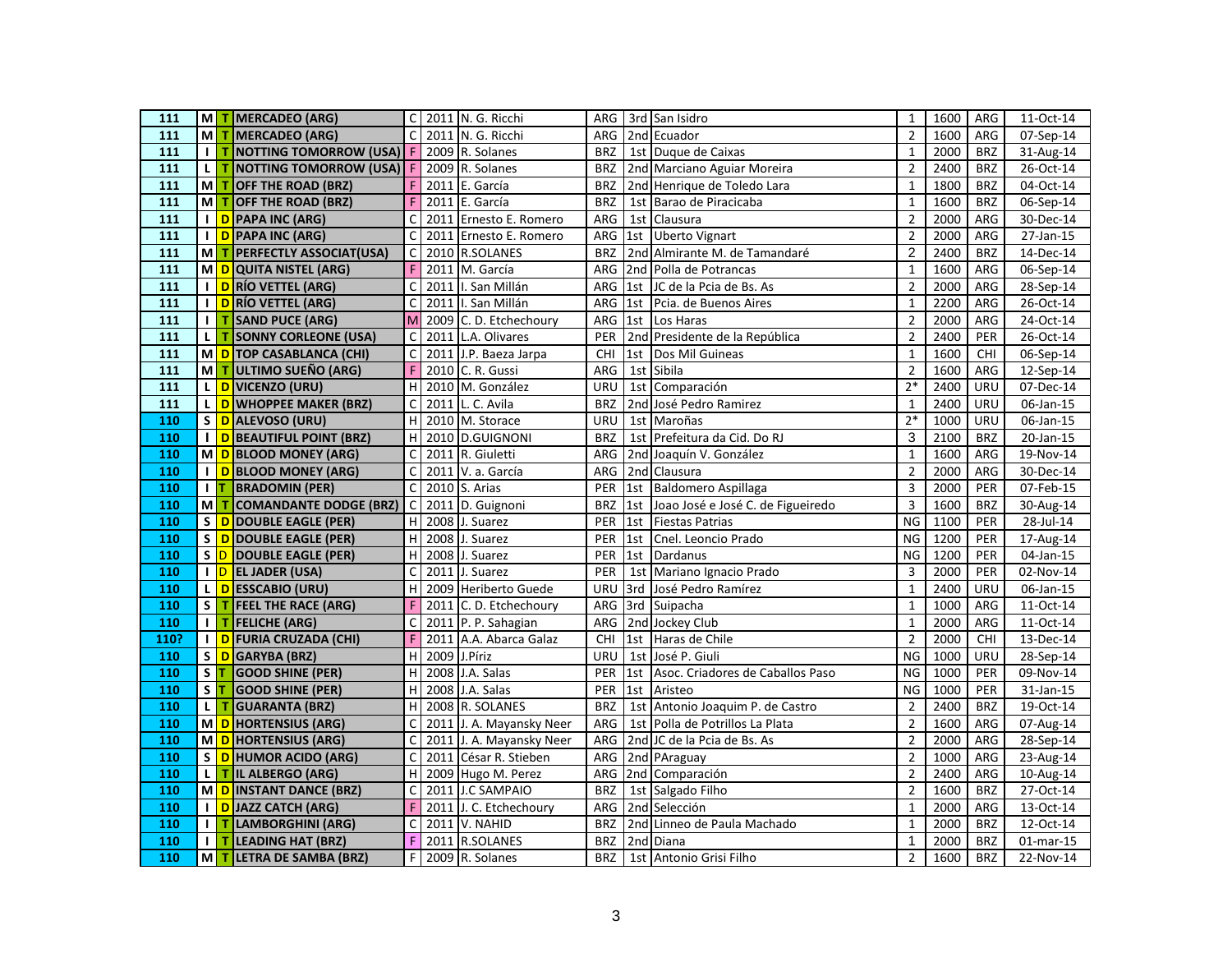| 111               |                |       | M T MERCADEO (ARG)                | $\mathsf{C}$ |      | 2011 N. G. Ricchi        |            |                 | ARG 3rd San Isidro                    | $\mathbf{1}$   | 1600 | ARG        | 11-Oct-14               |
|-------------------|----------------|-------|-----------------------------------|--------------|------|--------------------------|------------|-----------------|---------------------------------------|----------------|------|------------|-------------------------|
| 111               | мI             | т.    | <b>MERCADEO (ARG)</b>             | $\mathsf{C}$ |      | 2011 N. G. Ricchi        | ARG        |                 | 2nd Ecuador                           | $\overline{2}$ | 1600 | ARG        | 07-Sep-14               |
| 111               | $\mathbf{I}$   | т     | <b>NOTTING TOMORROW (USA)</b> F   |              |      | 2009 R. Solanes          | <b>BRZ</b> |                 | 1st Duque de Caixas                   | $\mathbf{1}$   | 2000 | <b>BRZ</b> | 31-Aug-14               |
| 111               | L              |       | T NOTTING TOMORROW (USA) F        |              |      | 2009 R. Solanes          | <b>BRZ</b> |                 | 2nd Marciano Aguiar Moreira           | $\overline{2}$ | 2400 | <b>BRZ</b> | 26-Oct-14               |
| $\frac{111}{111}$ | мI             | т     | OFF THE ROAD (BRZ)                | F            |      | 2011 E. García           | <b>BRZ</b> |                 | 2nd Henrique de Toledo Lara           | $\mathbf{1}$   | 1800 | <b>BRZ</b> | 04-Oct-14               |
| 111               | M              | т     | <b>OFF THE ROAD (BRZ)</b>         | F            |      | 2011 E. García           | <b>BRZ</b> |                 | 1st Barao de Piracicaba               | $\mathbf{1}$   | 1600 | <b>BRZ</b> | 06-Sep-14               |
| 111               | $\mathbf{I}$   |       | D PAPA INC (ARG)                  | $\mathsf{C}$ |      | 2011 Ernesto E. Romero   | ARG        |                 | 1st Clausura                          | $\overline{2}$ | 2000 | ARG        | 30-Dec-14               |
| 111               | $\mathbf{I}$   |       | D PAPA INC (ARG)                  | $\mathsf{C}$ |      | 2011 Ernesto E. Romero   | ARG        |                 | 1st Uberto Vignart                    | $\overline{2}$ | 2000 | ARG        | 27-Jan-15               |
| 111               | мI             |       | T PERFECTLY ASSOCIAT(USA)         | $\mathsf{C}$ |      | 2010 R.SOLANES           | <b>BRZ</b> |                 | 2nd Almirante M. de Tamandaré         | $\overline{2}$ | 2400 | <b>BRZ</b> | 14-Dec-14               |
| 111               |                |       | M D QUITA NISTEL (ARG)            | F            |      | 2011 M. García           | ARG        |                 | 2nd Polla de Potrancas                | $\mathbf{1}$   | 1600 | ARG        | 06-Sep-14               |
| 111               | $\mathbf{I}$   |       | <b>D</b> RÍO VETTEL (ARG)         | $\mathsf{C}$ |      | 2011 I. San Millán       | ARG        | 1st             | JC de la Pcia de Bs. As               | $\overline{2}$ | 2000 | ARG        | 28-Sep-14               |
| 111               | $\mathbf{I}$   |       | D RÍO VETTEL (ARG)                | $\mathsf{C}$ |      | 2011 I. San Millán       | ARG        |                 | 1st Pcia. de Buenos Aires             | $\mathbf{1}$   | 2200 | ARG        | 26-Oct-14               |
| 111               | $\mathbf{I}$   |       | T SAND PUCE (ARG)                 | M            |      | 2009 C.D. Etchechoury    | ARG        |                 | 1st Los Haras                         | $\overline{2}$ | 2000 | ARG        | 24-Oct-14               |
| 111               | L.             | т     | <b>SONNY CORLEONE (USA)</b>       | $\mathsf C$  |      | 2011 L.A. Olivares       | PER        | 2 <sub>nd</sub> | Presidente de la República            | $\overline{2}$ | 2400 | PER        | 26-Oct-14               |
| 111               |                |       | M D TOP CASABLANCA (CHI)          | $\mathsf{C}$ |      | 2011 J.P. Baeza Jarpa    | CHI        | 1st             | Dos Mil Guineas                       | $\mathbf{1}$   | 1600 | <b>CHI</b> | 06-Sep-14               |
| 111               | мI             |       | T ULTIMO SUEÑO (ARG)              | F            |      | 2010 C. R. Gussi         | ARG        |                 | 1st Sibila                            | $\overline{2}$ | 1600 | ARG        | 12-Sep-14               |
| 111               | L.             |       | D VICENZO (URU)                   | H            |      | 2010 M. González         | URU        | 1st             | Comparación                           | $2*$           | 2400 | URU        | 07-Dec-14               |
| 111               | L.             |       | D WHOPPEE MAKER (BRZ)             | $\mathsf C$  |      | 2011 L. C. Avila         | <b>BRZ</b> |                 | 2nd José Pedro Ramirez                | $\mathbf{1}$   | 2400 | URU        | $\overline{06}$ -Jan-15 |
| 110               | S              |       | D ALEVOSO (URU)                   | H            |      | 2010 M. Storace          | URU        |                 | 1st Maroñas                           | $2*$           | 1000 | URU        | 06-Jan-15               |
| 110               | $\mathbf{I}$   |       | <b>D</b> BEAUTIFUL POINT (BRZ)    | H            |      | 2010 D.GUIGNONI          | <b>BRZ</b> | 1st             | Prefeitura da Cid. Do RJ              | $\mathbf{3}$   | 2100 | <b>BRZ</b> | 20-Jan-15               |
| 110               |                |       | M D BLOOD MONEY (ARG)             | $\mathsf C$  |      | 2011 R. Giuletti         | ARG        |                 | 2nd Joaquín V. González               | $\mathbf{1}$   | 1600 | ARG        | 19-Nov-14               |
| 110               | $\mathbf{I}$   |       | D BLOOD MONEY (ARG)               | $\mathsf{C}$ |      | 2011 V. a. García        | ARG        |                 | 2nd Clausura                          | $\overline{2}$ | 2000 | ARG        | 30-Dec-14               |
| 110               | $\mathbf{I}$   |       | <b>BRADOMIN (PER)</b>             | $\mathsf{C}$ |      | 2010 S. Arias            | PER        |                 | 1st Baldomero Aspillaga               | 3              | 2000 | PER        | 07-Feb-15               |
| 110               | мI             |       | <b>T</b> COMANDANTE DODGE (BRZ) C |              |      | 2011 D. Guignoni         | <b>BRZ</b> |                 | 1st Joao José e José C. de Figueiredo | $\overline{3}$ | 1600 | <b>BRZ</b> | 30-Aug-14               |
| 110               | S              |       | D DOUBLE EAGLE (PER)              | H            | 2008 | J. Suarez                | PER        |                 | 1st Fiestas Patrias                   | <b>NG</b>      | 1100 | PER        | 28-Jul-14               |
| 110               | S              |       | D DOUBLE EAGLE (PER)              | H            | 2008 | J. Suarez                | PER        | 1st             | Cnel. Leoncio Prado                   | N <sub>G</sub> | 1200 | PER        | 17-Aug-14               |
| 110               |                |       | S D DOUBLE EAGLE (PER)            | H            |      | $2008$ J. Suarez         | PER        |                 | 1st Dardanus                          | <b>NG</b>      | 1200 | PER        | 04-Jan-15               |
| 110               |                |       | I D EL JADER (USA)                | $\mathsf{C}$ |      | 2011 J. Suarez           | PER        |                 | 1st Mariano Ignacio Prado             | 3              | 2000 | PER        | 02-Nov-14               |
| 110               | L.             |       | D ESSCABIO (URU)                  | H            |      | 2009 Heriberto Guede     | URU        | 3rd             | José Pedro Ramírez                    | $\mathbf{1}$   | 2400 | URU        | 06-Jan-15               |
| 110               | S              |       | T FEEL THE RACE (ARG)             | F            |      | 2011 C. D. Etchechoury   | ARG        |                 | 3rd Suipacha                          | $\mathbf{1}$   | 1000 | ARG        | 11-Oct-14               |
| 110               | $\mathbf{I}$   |       | $T$ FELICHE (ARG)                 | $\mathsf{C}$ |      | 2011 P. P. Sahagian      | ARG        |                 | 2nd Jockey Club                       | $\mathbf{1}$   | 2000 | ARG        | 11-Oct-14               |
| 110?              | $\blacksquare$ |       | D FURIA CRUZADA (CHI)             | F            |      | 2011 A.A. Abarca Galaz   | CHI        | 1st             | Haras de Chile                        | $\overline{2}$ | 2000 | <b>CHI</b> | 13-Dec-14               |
| 110               |                |       | S D GARYBA (BRZ)                  | $\mathsf{H}$ |      | 2009 J.Píriz             | <b>URU</b> |                 | 1st José P. Giuli                     | <b>NG</b>      | 1000 | URU        | 28-Sep-14               |
| 110               |                | $S$ T | <b>GOOD SHINE (PER)</b>           | H            |      | 2008 J.A. Salas          | PER        | 1st             | Asoc. Criadores de Caballos Paso      | N <sub>G</sub> | 1000 | PER        | 09-Nov-14               |
| 110               | S              |       | <b>GOOD SHINE (PER)</b>           | H            | 2008 | J.A. Salas               | PER        | 1st             | Aristeo                               | <b>NG</b>      | 1000 | PER        | 31-Jan-15               |
| 110               | L.             | T.    | <b>GUARANTA (BRZ)</b>             | H            |      | 2008 R. SOLANES          | <b>BRZ</b> |                 | 1st Antonio Joaquim P. de Castro      | $\overline{2}$ | 2400 | <b>BRZ</b> | 19-Oct-14               |
| 110               |                |       | M D HORTENSIUS (ARG)              | $\mathsf{C}$ |      | 2011 J. A. Mayansky Neer | ARG        |                 | 1st Polla de Potrillos La Plata       | $\overline{2}$ | 1600 | ARG        | 07-Aug-14               |
| 110               | мI             |       | <b>D</b> HORTENSIUS (ARG)         | C            |      | 2011 J. A. Mayansky Neer | ARG        |                 | 2nd JC de la Pcia de Bs. As           | $\overline{2}$ | 2000 | ARG        | 28-Sep-14               |
| 110               | S              |       | D HUMOR ACIDO (ARG)               | C            |      | 2011 César R. Stieben    | ARG        |                 | 2nd PAraguay                          | $\overline{2}$ | 1000 | ARG        | 23-Aug-14               |
| 110               | L              |       | T IL ALBERGO (ARG)                | H            |      | 2009 Hugo M. Perez       | ARG        |                 | 2nd Comparación                       | $\overline{2}$ | 2400 | ARG        | 10-Aug-14               |
| 110               | мI             |       | D INSTANT DANCE (BRZ)             | $\mathsf{C}$ |      | 2011 J.C SAMPAIO         | <b>BRZ</b> |                 | 1st Salgado Filho                     | $\overline{2}$ | 1600 | <b>BRZ</b> | 27-Oct-14               |
| 110               | $\mathbf{I}$   |       | D JAZZ CATCH (ARG)                | F            |      | 2011 J. C. Etchechoury   | ARG        |                 | 2nd Selección                         | $\mathbf{1}$   | 2000 | ARG        | 13-Oct-14               |
| 110               | $\mathbf{I}$   |       | T LAMBORGHINI (ARG)               | $\mathsf{C}$ |      | 2011 V. NAHID            | <b>BRZ</b> |                 | 2nd Linneo de Paula Machado           | $\mathbf{1}$   | 2000 | <b>BRZ</b> | 12-Oct-14               |
| 110               | $\mathbf{I}$   |       | T LEADING HAT (BRZ)               | F            |      | 2011 R.SOLANES           | <b>BRZ</b> |                 | 2nd Diana                             | $\mathbf{1}$   | 2000 | <b>BRZ</b> | 01-mar-15               |
| 110               |                |       | M T LETRA DE SAMBA (BRZ)          | F            |      | 2009 R. Solanes          | <b>BRZ</b> |                 | 1st Antonio Grisi Filho               | $\overline{2}$ | 1600 | <b>BRZ</b> | 22-Nov-14               |